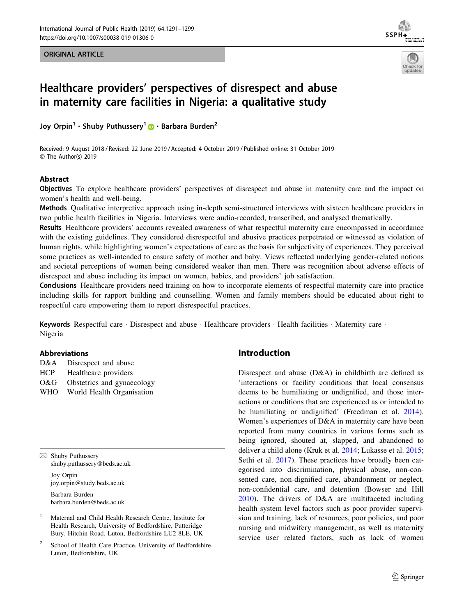ORIGINAL ARTICLE





# Healthcare providers' perspectives of disrespect and abuse in maternity care facilities in Nigeria: a qualitative study

Joy Orpin<sup>[1](http://orcid.org/0000-0002-1865-9546)</sup> · Shuby Puthussery<sup>1</sup> • Barbara Burden<sup>2</sup>

Received: 9 August 2018 / Revised: 22 June 2019 / Accepted: 4 October 2019 / Published online: 31 October 2019 © The Author(s) 2019

## Abstract

Objectives To explore healthcare providers' perspectives of disrespect and abuse in maternity care and the impact on women's health and well-being.

Methods Qualitative interpretive approach using in-depth semi-structured interviews with sixteen healthcare providers in two public health facilities in Nigeria. Interviews were audio-recorded, transcribed, and analysed thematically.

Results Healthcare providers' accounts revealed awareness of what respectful maternity care encompassed in accordance with the existing guidelines. They considered disrespectful and abusive practices perpetrated or witnessed as violation of human rights, while highlighting women's expectations of care as the basis for subjectivity of experiences. They perceived some practices as well-intended to ensure safety of mother and baby. Views reflected underlying gender-related notions and societal perceptions of women being considered weaker than men. There was recognition about adverse effects of disrespect and abuse including its impact on women, babies, and providers' job satisfaction.

Conclusions Healthcare providers need training on how to incorporate elements of respectful maternity care into practice including skills for rapport building and counselling. Women and family members should be educated about right to respectful care empowering them to report disrespectful practices.

Keywords Respectful care · Disrespect and abuse · Healthcare providers · Health facilities · Maternity care · Nigeria

## Abbreviations

| D&A<br>Disrespect and abuse |  |
|-----------------------------|--|
|-----------------------------|--|

- HCP Healthcare providers
- O&G Obstetrics and gynaecology
- WHO World Health Organisation

 $\boxtimes$  Shuby Puthussery shuby.puthussery@beds.ac.uk Joy Orpin

joy.orpin@study.beds.ac.uk

Barbara Burden barbara.burden@beds.ac.uk

- <sup>1</sup> Maternal and Child Health Research Centre, Institute for Health Research, University of Bedfordshire, Putteridge Bury, Hitchin Road, Luton, Bedfordshire LU2 8LE, UK
- School of Health Care Practice, University of Bedfordshire, Luton, Bedfordshire, UK

# Introduction

Disrespect and abuse (D&A) in childbirth are defined as 'interactions or facility conditions that local consensus deems to be humiliating or undignified, and those interactions or conditions that are experienced as or intended to be humiliating or undignified' (Freedman et al. [2014](#page-7-0)). Women's experiences of D&A in maternity care have been reported from many countries in various forms such as being ignored, shouted at, slapped, and abandoned to deliver a child alone (Kruk et al. [2014;](#page-7-0) Lukasse et al. [2015](#page-7-0); Sethi et al. [2017](#page-8-0)). These practices have broadly been categorised into discrimination, physical abuse, non-consented care, non-dignified care, abandonment or neglect, non-confidential care, and detention (Bowser and Hill [2010](#page-7-0)). The drivers of D&A are multifaceted including health system level factors such as poor provider supervision and training, lack of resources, poor policies, and poor nursing and midwifery management, as well as maternity service user related factors, such as lack of women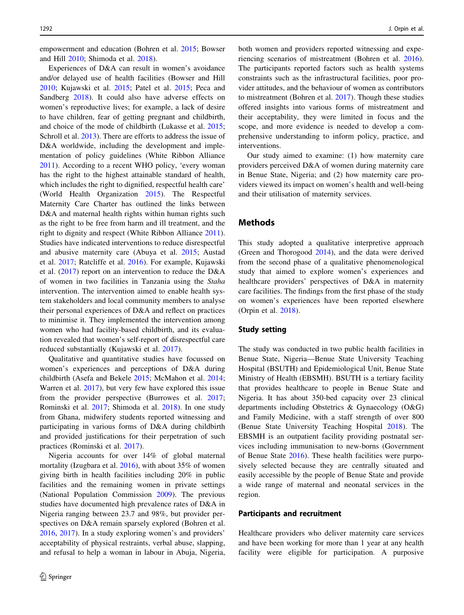empowerment and education (Bohren et al. [2015](#page-7-0); Bowser and Hill [2010;](#page-7-0) Shimoda et al. [2018](#page-8-0)).

Experiences of D&A can result in women's avoidance and/or delayed use of health facilities (Bowser and Hill [2010;](#page-7-0) Kujawski et al. [2015;](#page-7-0) Patel et al. [2015](#page-8-0); Peca and Sandberg [2018](#page-8-0)). It could also have adverse effects on women's reproductive lives; for example, a lack of desire to have children, fear of getting pregnant and childbirth, and choice of the mode of childbirth (Lukasse et al. [2015](#page-7-0); Schroll et al. [2013](#page-8-0)). There are efforts to address the issue of D&A worldwide, including the development and implementation of policy guidelines (White Ribbon Alliance [2011\)](#page-8-0). According to a recent WHO policy, 'every woman has the right to the highest attainable standard of health, which includes the right to dignified, respectful health care' (World Health Organization [2015](#page-8-0)). The Respectful Maternity Care Charter has outlined the links between D&A and maternal health rights within human rights such as the right to be free from harm and ill treatment, and the right to dignity and respect (White Ribbon Alliance [2011](#page-8-0)). Studies have indicated interventions to reduce disrespectful and abusive maternity care (Abuya et al. [2015](#page-7-0); Austad et al. [2017](#page-7-0); Ratcliffe et al. [2016](#page-8-0)). For example, Kujawski et al. [\(2017](#page-7-0)) report on an intervention to reduce the D&A of women in two facilities in Tanzania using the Staha intervention. The intervention aimed to enable health system stakeholders and local community members to analyse their personal experiences of D&A and reflect on practices to minimise it. They implemented the intervention among women who had facility-based childbirth, and its evaluation revealed that women's self-report of disrespectful care reduced substantially (Kujawski et al. [2017\)](#page-7-0).

Qualitative and quantitative studies have focussed on women's experiences and perceptions of D&A during childbirth (Asefa and Bekele [2015;](#page-7-0) McMahon et al. [2014](#page-7-0); Warren et al. [2017\)](#page-8-0), but very few have explored this issue from the provider perspective (Burrowes et al. [2017](#page-7-0); Rominski et al. [2017;](#page-8-0) Shimoda et al. [2018\)](#page-8-0). In one study from Ghana, midwifery students reported witnessing and participating in various forms of D&A during childbirth and provided justifications for their perpetration of such practices (Rominski et al. [2017](#page-8-0)).

Nigeria accounts for over 14% of global maternal mortality (Izugbara et al. [2016\)](#page-7-0), with about 35% of women giving birth in health facilities including 20% in public facilities and the remaining women in private settings (National Population Commission [2009](#page-7-0)). The previous studies have documented high prevalence rates of D&A in Nigeria ranging between 23.7 and 98%, but provider perspectives on D&A remain sparsely explored (Bohren et al. [2016,](#page-7-0) [2017\)](#page-7-0). In a study exploring women's and providers' acceptability of physical restraints, verbal abuse, slapping, and refusal to help a woman in labour in Abuja, Nigeria, both women and providers reported witnessing and experiencing scenarios of mistreatment (Bohren et al. [2016](#page-7-0)). The participants reported factors such as health systems constraints such as the infrastructural facilities, poor provider attitudes, and the behaviour of women as contributors to mistreatment (Bohren et al. [2017](#page-7-0)). Though these studies offered insights into various forms of mistreatment and their acceptability, they were limited in focus and the scope, and more evidence is needed to develop a comprehensive understanding to inform policy, practice, and interventions.

Our study aimed to examine: (1) how maternity care providers perceived D&A of women during maternity care in Benue State, Nigeria; and (2) how maternity care providers viewed its impact on women's health and well-being and their utilisation of maternity services.

# Methods

This study adopted a qualitative interpretive approach (Green and Thorogood [2014](#page-7-0)), and the data were derived from the second phase of a qualitative phenomenological study that aimed to explore women's experiences and healthcare providers' perspectives of D&A in maternity care facilities. The findings from the first phase of the study on women's experiences have been reported elsewhere (Orpin et al. [2018\)](#page-7-0).

## Study setting

The study was conducted in two public health facilities in Benue State, Nigeria—Benue State University Teaching Hospital (BSUTH) and Epidemiological Unit, Benue State Ministry of Health (EBSMH). BSUTH is a tertiary facility that provides healthcare to people in Benue State and Nigeria. It has about 350-bed capacity over 23 clinical departments including Obstetrics & Gynaecology (O&G) and Family Medicine, with a staff strength of over 800 (Benue State University Teaching Hospital [2018](#page-7-0)). The EBSMH is an outpatient facility providing postnatal services including immunisation to new-borns (Government of Benue State [2016](#page-7-0)). These health facilities were purposively selected because they are centrally situated and easily accessible by the people of Benue State and provide a wide range of maternal and neonatal services in the region.

#### Participants and recruitment

Healthcare providers who deliver maternity care services and have been working for more than 1 year at any health facility were eligible for participation. A purposive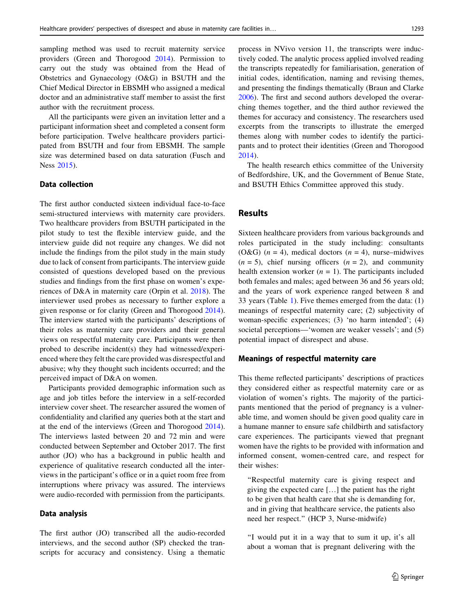sampling method was used to recruit maternity service providers (Green and Thorogood [2014](#page-7-0)). Permission to carry out the study was obtained from the Head of Obstetrics and Gynaecology (O&G) in BSUTH and the Chief Medical Director in EBSMH who assigned a medical doctor and an administrative staff member to assist the first author with the recruitment process.

All the participants were given an invitation letter and a participant information sheet and completed a consent form before participation. Twelve healthcare providers participated from BSUTH and four from EBSMH. The sample size was determined based on data saturation (Fusch and Ness [2015\)](#page-7-0).

# Data collection

The first author conducted sixteen individual face-to-face semi-structured interviews with maternity care providers. Two healthcare providers from BSUTH participated in the pilot study to test the flexible interview guide, and the interview guide did not require any changes. We did not include the findings from the pilot study in the main study due to lack of consent from participants. The interview guide consisted of questions developed based on the previous studies and findings from the first phase on women's experiences of D&A in maternity care (Orpin et al. [2018\)](#page-7-0). The interviewer used probes as necessary to further explore a given response or for clarity (Green and Thorogood [2014](#page-7-0)). The interview started with the participants' descriptions of their roles as maternity care providers and their general views on respectful maternity care. Participants were then probed to describe incident(s) they had witnessed/experienced where they felt the care provided was disrespectful and abusive; why they thought such incidents occurred; and the perceived impact of D&A on women.

Participants provided demographic information such as age and job titles before the interview in a self-recorded interview cover sheet. The researcher assured the women of confidentiality and clarified any queries both at the start and at the end of the interviews (Green and Thorogood [2014](#page-7-0)). The interviews lasted between 20 and 72 min and were conducted between September and October 2017. The first author (JO) who has a background in public health and experience of qualitative research conducted all the interviews in the participant's office or in a quiet room free from interruptions where privacy was assured. The interviews were audio-recorded with permission from the participants.

## Data analysis

The first author (JO) transcribed all the audio-recorded interviews, and the second author (SP) checked the transcripts for accuracy and consistency. Using a thematic process in NVivo version 11, the transcripts were inductively coded. The analytic process applied involved reading the transcripts repeatedly for familiarisation, generation of initial codes, identification, naming and revising themes, and presenting the findings thematically (Braun and Clarke [2006](#page-7-0)). The first and second authors developed the overarching themes together, and the third author reviewed the themes for accuracy and consistency. The researchers used excerpts from the transcripts to illustrate the emerged themes along with number codes to identify the participants and to protect their identities (Green and Thorogood [2014](#page-7-0)).

The health research ethics committee of the University of Bedfordshire, UK, and the Government of Benue State, and BSUTH Ethics Committee approved this study.

## Results

Sixteen healthcare providers from various backgrounds and roles participated in the study including: consultants (O&G)  $(n = 4)$ , medical doctors  $(n = 4)$ , nurse–midwives  $(n = 5)$ , chief nursing officers  $(n = 2)$ , and community health extension worker  $(n = 1)$ . The participants included both females and males; aged between 36 and 56 years old; and the years of work experience ranged between 8 and 33 years (Table [1](#page-3-0)). Five themes emerged from the data: (1) meanings of respectful maternity care; (2) subjectivity of woman-specific experiences; (3) 'no harm intended'; (4) societal perceptions—'women are weaker vessels'; and (5) potential impact of disrespect and abuse.

#### Meanings of respectful maternity care

This theme reflected participants' descriptions of practices they considered either as respectful maternity care or as violation of women's rights. The majority of the participants mentioned that the period of pregnancy is a vulnerable time, and women should be given good quality care in a humane manner to ensure safe childbirth and satisfactory care experiences. The participants viewed that pregnant women have the rights to be provided with information and informed consent, women-centred care, and respect for their wishes:

''Respectful maternity care is giving respect and giving the expected care […] the patient has the right to be given that health care that she is demanding for, and in giving that healthcare service, the patients also need her respect.'' (HCP 3, Nurse-midwife)

''I would put it in a way that to sum it up, it's all about a woman that is pregnant delivering with the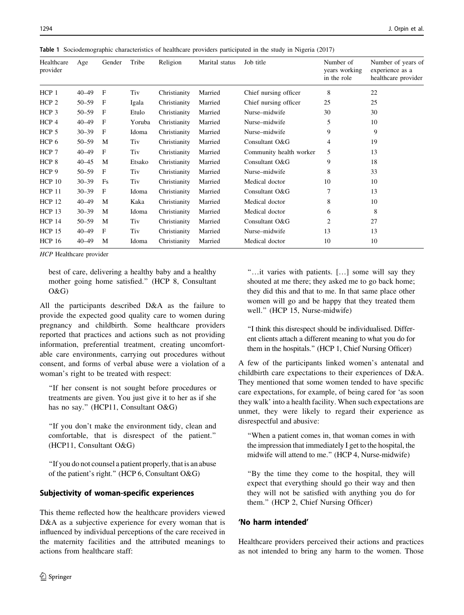| Healthcare<br>provider | Age       | Gender       | Tribe  | Religion     | Marital status | Job title               | Number of<br>years working<br>in the role | Number of years of<br>experience as a<br>healthcare provider |
|------------------------|-----------|--------------|--------|--------------|----------------|-------------------------|-------------------------------------------|--------------------------------------------------------------|
| HCP 1                  | $40 - 49$ | F            | Tiv    | Christianity | Married        | Chief nursing officer   | 8                                         | 22                                                           |
| HCP <sub>2</sub>       | $50 - 59$ | F            | Igala  | Christianity | Married        | Chief nursing officer   | 25                                        | 25                                                           |
| HCP 3                  | $50 - 59$ | F            | Etulo  | Christianity | Married        | Nurse-midwife           | 30                                        | 30                                                           |
| HCP 4                  | $40 - 49$ | F            | Yoruba | Christianity | Married        | Nurse-midwife           | 5                                         | 10                                                           |
| HCP <sub>5</sub>       | $30 - 39$ | $\mathbf{F}$ | Idoma  | Christianity | Married        | Nurse-midwife           | 9                                         | 9                                                            |
| HCP 6                  | $50 - 59$ | M            | Tiv    | Christianity | Married        | Consultant O&G          | 4                                         | 19                                                           |
| HCP 7                  | $40 - 49$ | $\mathbf{F}$ | Tiv    | Christianity | Married        | Community health worker | 5                                         | 13                                                           |
| HCP <sub>8</sub>       | $40 - 45$ | M            | Etsako | Christianity | Married        | Consultant O&G          | 9                                         | 18                                                           |
| HCP 9                  | $50 - 59$ | F            | Tiv    | Christianity | Married        | Nurse-midwife           | 8                                         | 33                                                           |
| $HCP$ 10               | $30 - 39$ | Fs           | Tiv    | Christianity | Married        | Medical doctor          | 10                                        | 10                                                           |
| <b>HCP 11</b>          | $30 - 39$ | F            | Idoma  | Christianity | Married        | Consultant O&G          | 7                                         | 13                                                           |
| <b>HCP 12</b>          | $40 - 49$ | M            | Kaka   | Christianity | Married        | Medical doctor          | 8                                         | 10                                                           |
| <b>HCP 13</b>          | $30 - 39$ | M            | Idoma  | Christianity | Married        | Medical doctor          | 6                                         | 8                                                            |
| <b>HCP 14</b>          | $50 - 59$ | M            | Tiv    | Christianity | Married        | Consultant O&G          | 2                                         | 27                                                           |
| $HCP$ 15               | $40 - 49$ | F            | Tiv    | Christianity | Married        | Nurse-midwife           | 13                                        | 13                                                           |
| <b>HCP 16</b>          | $40 - 49$ | M            | Idoma  | Christianity | Married        | Medical doctor          | 10                                        | 10                                                           |

<span id="page-3-0"></span>Table 1 Sociodemographic characteristics of healthcare providers participated in the study in Nigeria (2017)

HCP Healthcare provider

best of care, delivering a healthy baby and a healthy mother going home satisfied.'' (HCP 8, Consultant O&G)

All the participants described D&A as the failure to provide the expected good quality care to women during pregnancy and childbirth. Some healthcare providers reported that practices and actions such as not providing information, preferential treatment, creating uncomfortable care environments, carrying out procedures without consent, and forms of verbal abuse were a violation of a woman's right to be treated with respect:

''If her consent is not sought before procedures or treatments are given. You just give it to her as if she has no say." (HCP11, Consultant O&G)

''If you don't make the environment tidy, clean and comfortable, that is disrespect of the patient.'' (HCP11, Consultant O&G)

''If you do not counsel a patient properly, that is an abuse of the patient's right.'' (HCP 6, Consultant O&G)

# Subjectivity of woman-specific experiences

This theme reflected how the healthcare providers viewed D&A as a subjective experience for every woman that is influenced by individual perceptions of the care received in the maternity facilities and the attributed meanings to actions from healthcare staff:

''…it varies with patients. […] some will say they shouted at me there; they asked me to go back home; they did this and that to me. In that same place other women will go and be happy that they treated them well.'' (HCP 15, Nurse-midwife)

''I think this disrespect should be individualised. Different clients attach a different meaning to what you do for them in the hospitals.'' (HCP 1, Chief Nursing Officer)

A few of the participants linked women's antenatal and childbirth care expectations to their experiences of D&A. They mentioned that some women tended to have specific care expectations, for example, of being cared for 'as soon they walk' into a health facility. When such expectations are unmet, they were likely to regard their experience as disrespectful and abusive:

''When a patient comes in, that woman comes in with the impression that immediately I get to the hospital, the midwife will attend to me.'' (HCP 4, Nurse-midwife)

''By the time they come to the hospital, they will expect that everything should go their way and then they will not be satisfied with anything you do for them.'' (HCP 2, Chief Nursing Officer)

# 'No harm intended'

Healthcare providers perceived their actions and practices as not intended to bring any harm to the women. Those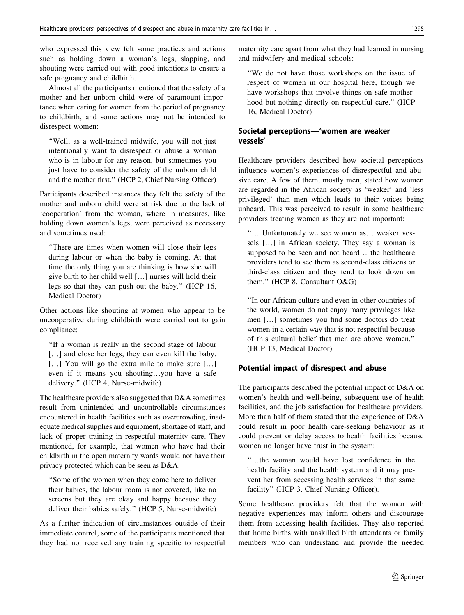who expressed this view felt some practices and actions such as holding down a woman's legs, slapping, and shouting were carried out with good intentions to ensure a safe pregnancy and childbirth.

Almost all the participants mentioned that the safety of a mother and her unborn child were of paramount importance when caring for women from the period of pregnancy to childbirth, and some actions may not be intended to disrespect women:

''Well, as a well-trained midwife, you will not just intentionally want to disrespect or abuse a woman who is in labour for any reason, but sometimes you just have to consider the safety of the unborn child and the mother first.'' (HCP 2, Chief Nursing Officer)

Participants described instances they felt the safety of the mother and unborn child were at risk due to the lack of 'cooperation' from the woman, where in measures, like holding down women's legs, were perceived as necessary and sometimes used:

''There are times when women will close their legs during labour or when the baby is coming. At that time the only thing you are thinking is how she will give birth to her child well […] nurses will hold their legs so that they can push out the baby.'' (HCP 16, Medical Doctor)

Other actions like shouting at women who appear to be uncooperative during childbirth were carried out to gain compliance:

''If a woman is really in the second stage of labour [...] and close her legs, they can even kill the baby. [...] You will go the extra mile to make sure [...] even if it means you shouting…you have a safe delivery.'' (HCP 4, Nurse-midwife)

The healthcare providers also suggested that D&A sometimes result from unintended and uncontrollable circumstances encountered in health facilities such as overcrowding, inadequate medical supplies and equipment, shortage of staff, and lack of proper training in respectful maternity care. They mentioned, for example, that women who have had their childbirth in the open maternity wards would not have their privacy protected which can be seen as D&A:

''Some of the women when they come here to deliver their babies, the labour room is not covered, like no screens but they are okay and happy because they deliver their babies safely.'' (HCP 5, Nurse-midwife)

As a further indication of circumstances outside of their immediate control, some of the participants mentioned that they had not received any training specific to respectful maternity care apart from what they had learned in nursing and midwifery and medical schools:

''We do not have those workshops on the issue of respect of women in our hospital here, though we have workshops that involve things on safe motherhood but nothing directly on respectful care.'' (HCP 16, Medical Doctor)

# Societal perceptions—'women are weaker vessels'

Healthcare providers described how societal perceptions influence women's experiences of disrespectful and abusive care. A few of them, mostly men, stated how women are regarded in the African society as 'weaker' and 'less privileged' than men which leads to their voices being unheard. This was perceived to result in some healthcare providers treating women as they are not important:

''… Unfortunately we see women as… weaker vessels […] in African society. They say a woman is supposed to be seen and not heard… the healthcare providers tend to see them as second-class citizens or third-class citizen and they tend to look down on them.'' (HCP 8, Consultant O&G)

''In our African culture and even in other countries of the world, women do not enjoy many privileges like men […] sometimes you find some doctors do treat women in a certain way that is not respectful because of this cultural belief that men are above women.'' (HCP 13, Medical Doctor)

# Potential impact of disrespect and abuse

The participants described the potential impact of D&A on women's health and well-being, subsequent use of health facilities, and the job satisfaction for healthcare providers. More than half of them stated that the experience of D&A could result in poor health care-seeking behaviour as it could prevent or delay access to health facilities because women no longer have trust in the system:

''…the woman would have lost confidence in the health facility and the health system and it may prevent her from accessing health services in that same facility'' (HCP 3, Chief Nursing Officer).

Some healthcare providers felt that the women with negative experiences may inform others and discourage them from accessing health facilities. They also reported that home births with unskilled birth attendants or family members who can understand and provide the needed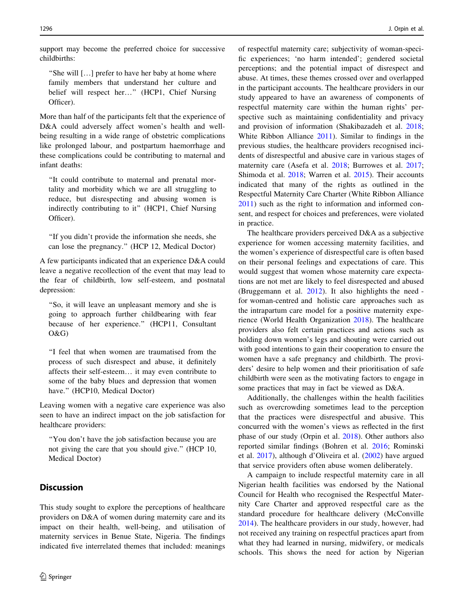support may become the preferred choice for successive childbirths:

''She will […] prefer to have her baby at home where family members that understand her culture and belief will respect her…'' (HCP1, Chief Nursing Officer).

More than half of the participants felt that the experience of D&A could adversely affect women's health and wellbeing resulting in a wide range of obstetric complications like prolonged labour, and postpartum haemorrhage and these complications could be contributing to maternal and infant deaths:

''It could contribute to maternal and prenatal mortality and morbidity which we are all struggling to reduce, but disrespecting and abusing women is indirectly contributing to it" (HCP1, Chief Nursing Officer).

''If you didn't provide the information she needs, she can lose the pregnancy.'' (HCP 12, Medical Doctor)

A few participants indicated that an experience D&A could leave a negative recollection of the event that may lead to the fear of childbirth, low self-esteem, and postnatal depression:

''So, it will leave an unpleasant memory and she is going to approach further childbearing with fear because of her experience.'' (HCP11, Consultant O&G)

''I feel that when women are traumatised from the process of such disrespect and abuse, it definitely affects their self-esteem… it may even contribute to some of the baby blues and depression that women have." (HCP10, Medical Doctor)

Leaving women with a negative care experience was also seen to have an indirect impact on the job satisfaction for healthcare providers:

''You don't have the job satisfaction because you are not giving the care that you should give.'' (HCP 10, Medical Doctor)

# **Discussion**

This study sought to explore the perceptions of healthcare providers on D&A of women during maternity care and its impact on their health, well-being, and utilisation of maternity services in Benue State, Nigeria. The findings indicated five interrelated themes that included: meanings of respectful maternity care; subjectivity of woman-specific experiences; 'no harm intended'; gendered societal perceptions; and the potential impact of disrespect and abuse. At times, these themes crossed over and overlapped in the participant accounts. The healthcare providers in our study appeared to have an awareness of components of respectful maternity care within the human rights' perspective such as maintaining confidentiality and privacy and provision of information (Shakibazadeh et al. [2018](#page-8-0); White Ribbon Alliance [2011](#page-8-0)). Similar to findings in the previous studies, the healthcare providers recognised incidents of disrespectful and abusive care in various stages of maternity care (Asefa et al. [2018](#page-7-0); Burrowes et al. [2017](#page-7-0); Shimoda et al. [2018;](#page-8-0) Warren et al. [2015](#page-8-0)). Their accounts indicated that many of the rights as outlined in the Respectful Maternity Care Charter (White Ribbon Alliance [2011](#page-8-0)) such as the right to information and informed consent, and respect for choices and preferences, were violated in practice.

The healthcare providers perceived D&A as a subjective experience for women accessing maternity facilities, and the women's experience of disrespectful care is often based on their personal feelings and expectations of care. This would suggest that women whose maternity care expectations are not met are likely to feel disrespected and abused (Bruggemann et al. [2012\)](#page-7-0). It also highlights the need for woman-centred and holistic care approaches such as the intrapartum care model for a positive maternity experience (World Health Organization [2018\)](#page-8-0). The healthcare providers also felt certain practices and actions such as holding down women's legs and shouting were carried out with good intentions to gain their cooperation to ensure the women have a safe pregnancy and childbirth. The providers' desire to help women and their prioritisation of safe childbirth were seen as the motivating factors to engage in some practices that may in fact be viewed as D&A.

Additionally, the challenges within the health facilities such as overcrowding sometimes lead to the perception that the practices were disrespectful and abusive. This concurred with the women's views as reflected in the first phase of our study (Orpin et al. [2018\)](#page-7-0). Other authors also reported similar findings (Bohren et al. [2016;](#page-7-0) Rominski et al. [2017\)](#page-8-0), although d'Oliveira et al. [\(2002](#page-7-0)) have argued that service providers often abuse women deliberately.

A campaign to include respectful maternity care in all Nigerian health facilities was endorsed by the National Council for Health who recognised the Respectful Maternity Care Charter and approved respectful care as the standard procedure for healthcare delivery (McConville [2014](#page-7-0)). The healthcare providers in our study, however, had not received any training on respectful practices apart from what they had learned in nursing, midwifery, or medicals schools. This shows the need for action by Nigerian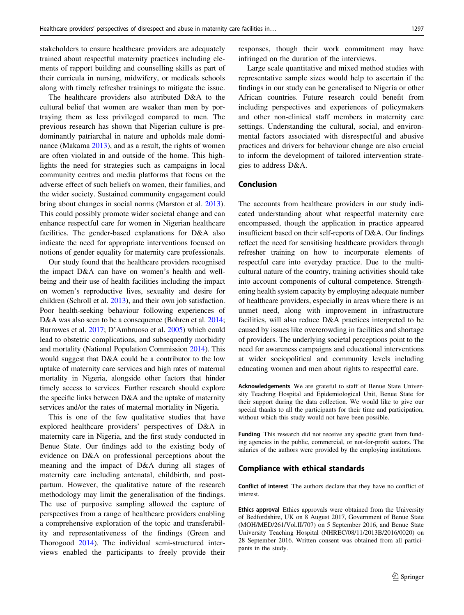stakeholders to ensure healthcare providers are adequately trained about respectful maternity practices including elements of rapport building and counselling skills as part of their curricula in nursing, midwifery, or medicals schools along with timely refresher trainings to mitigate the issue.

The healthcare providers also attributed D&A to the cultural belief that women are weaker than men by portraying them as less privileged compared to men. The previous research has shown that Nigerian culture is predominantly patriarchal in nature and upholds male dominance (Makama [2013\)](#page-7-0), and as a result, the rights of women are often violated in and outside of the home. This highlights the need for strategies such as campaigns in local community centres and media platforms that focus on the adverse effect of such beliefs on women, their families, and the wider society. Sustained community engagement could bring about changes in social norms (Marston et al. [2013](#page-7-0)). This could possibly promote wider societal change and can enhance respectful care for women in Nigerian healthcare facilities. The gender-based explanations for D&A also indicate the need for appropriate interventions focused on notions of gender equality for maternity care professionals.

Our study found that the healthcare providers recognised the impact D&A can have on women's health and wellbeing and their use of health facilities including the impact on women's reproductive lives, sexuality and desire for children (Schroll et al. [2013\)](#page-8-0), and their own job satisfaction. Poor health-seeking behaviour following experiences of D&A was also seen to be a consequence (Bohren et al. [2014](#page-7-0); Burrowes et al. [2017](#page-7-0); D'Ambruoso et al. [2005\)](#page-7-0) which could lead to obstetric complications, and subsequently morbidity and mortality (National Population Commission [2014](#page-7-0)). This would suggest that D&A could be a contributor to the low uptake of maternity care services and high rates of maternal mortality in Nigeria, alongside other factors that hinder timely access to services. Further research should explore the specific links between D&A and the uptake of maternity services and/or the rates of maternal mortality in Nigeria.

This is one of the few qualitative studies that have explored healthcare providers' perspectives of D&A in maternity care in Nigeria, and the first study conducted in Benue State. Our findings add to the existing body of evidence on D&A on professional perceptions about the meaning and the impact of D&A during all stages of maternity care including antenatal, childbirth, and postpartum. However, the qualitative nature of the research methodology may limit the generalisation of the findings. The use of purposive sampling allowed the capture of perspectives from a range of healthcare providers enabling a comprehensive exploration of the topic and transferability and representativeness of the findings (Green and Thorogood [2014\)](#page-7-0). The individual semi-structured interviews enabled the participants to freely provide their responses, though their work commitment may have infringed on the duration of the interviews.

Large scale quantitative and mixed method studies with representative sample sizes would help to ascertain if the findings in our study can be generalised to Nigeria or other African countries. Future research could benefit from including perspectives and experiences of policymakers and other non-clinical staff members in maternity care settings. Understanding the cultural, social, and environmental factors associated with disrespectful and abusive practices and drivers for behaviour change are also crucial to inform the development of tailored intervention strategies to address D&A.

## Conclusion

The accounts from healthcare providers in our study indicated understanding about what respectful maternity care encompassed, though the application in practice appeared insufficient based on their self-reports of D&A. Our findings reflect the need for sensitising healthcare providers through refresher training on how to incorporate elements of respectful care into everyday practice. Due to the multicultural nature of the country, training activities should take into account components of cultural competence. Strengthening health system capacity by employing adequate number of healthcare providers, especially in areas where there is an unmet need, along with improvement in infrastructure facilities, will also reduce D&A practices interpreted to be caused by issues like overcrowding in facilities and shortage of providers. The underlying societal perceptions point to the need for awareness campaigns and educational interventions at wider sociopolitical and community levels including educating women and men about rights to respectful care.

Acknowledgements We are grateful to staff of Benue State University Teaching Hospital and Epidemiological Unit, Benue State for their support during the data collection. We would like to give our special thanks to all the participants for their time and participation, without which this study would not have been possible.

Funding This research did not receive any specific grant from funding agencies in the public, commercial, or not-for-profit sectors. The salaries of the authors were provided by the employing institutions.

#### Compliance with ethical standards

Conflict of interest The authors declare that they have no conflict of interest.

Ethics approval Ethics approvals were obtained from the University of Bedfordshire, UK on 8 August 2017, Government of Benue State (MOH/MED/261/Vol.II/707) on 5 September 2016, and Benue State University Teaching Hospital (NHREC/08/11/2013B/2016/0020) on 28 September 2016. Written consent was obtained from all participants in the study.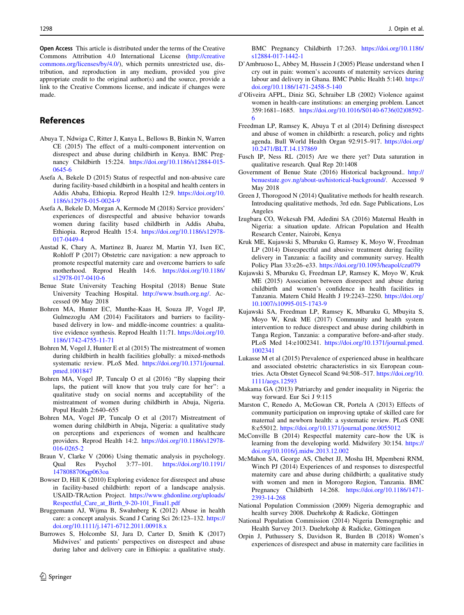<span id="page-7-0"></span>Open Access This article is distributed under the terms of the Creative Commons Attribution 4.0 International License ([http://creative](http://creativecommons.org/licenses/by/4.0/) [commons.org/licenses/by/4.0/\)](http://creativecommons.org/licenses/by/4.0/), which permits unrestricted use, distribution, and reproduction in any medium, provided you give appropriate credit to the original author(s) and the source, provide a link to the Creative Commons license, and indicate if changes were made.

## References

- Abuya T, Ndwiga C, Ritter J, Kanya L, Bellows B, Binkin N, Warren CE (2015) The effect of a multi-component intervention on disrespect and abuse during childbirth in Kenya. BMC Pregnancy Childbirth 15:224. [https://doi.org/10.1186/s12884-015-](https://doi.org/10.1186/s12884-015-0645-6) [0645-6](https://doi.org/10.1186/s12884-015-0645-6)
- Asefa A, Bekele D (2015) Status of respectful and non-abusive care during facility-based childbirth in a hospital and health centers in Addis Ababa, Ethiopia. Reprod Health 12:9. [https://doi.org/10.](https://doi.org/10.1186/s12978-015-0024-9) [1186/s12978-015-0024-9](https://doi.org/10.1186/s12978-015-0024-9)
- Asefa A, Bekele D, Morgan A, Kermode M (2018) Service providers' experiences of disrespectful and abusive behavior towards women during facility based childbirth in Addis Ababa, Ethiopia. Reprod Health 15:4. [https://doi.org/10.1186/s12978-](https://doi.org/10.1186/s12978-017-0449-4) [017-0449-4](https://doi.org/10.1186/s12978-017-0449-4)
- Austad K, Chary A, Martinez B, Juarez M, Martin YJ, Ixen EC, Rohloff P (2017) Obstetric care navigation: a new approach to promote respectful maternity care and overcome barriers to safe motherhood. Reprod Health 14:6. [https://doi.org/10.1186/](https://doi.org/10.1186/s12978-017-0410-6) [s12978-017-0410-6](https://doi.org/10.1186/s12978-017-0410-6)
- Benue State University Teaching Hospital (2018) Benue State University Teaching Hospital. [http://www.bsuth.org.ng/.](http://www.bsuth.org.ng/) Accessed 09 May 2018
- Bohren MA, Hunter EC, Munthe-Kaas H, Souza JP, Vogel JP, Gulmezoglu AM (2014) Facilitators and barriers to facilitybased delivery in low- and middle-income countries: a qualitative evidence synthesis. Reprod Health 11:71. [https://doi.org/10.](https://doi.org/10.1186/1742-4755-11-71) [1186/1742-4755-11-71](https://doi.org/10.1186/1742-4755-11-71)
- Bohren M, Vogel J, Hunter E et al (2015) The mistreatment of women during childbirth in health facilities globally: a mixed-methods systematic review. PLoS Med. [https://doi.org/10.1371/journal.](https://doi.org/10.1371/journal.pmed.1001847) [pmed.1001847](https://doi.org/10.1371/journal.pmed.1001847)
- Bohren MA, Vogel JP, Tuncalp O et al (2016) ''By slapping their laps, the patient will know that you truly care for her'': a qualitative study on social norms and acceptability of the mistreatment of women during childbirth in Abuja, Nigeria. Popul Health 2:640–655
- Bohren MA, Vogel JP, Tuncalp O et al (2017) Mistreatment of women during childbirth in Abuja, Nigeria: a qualitative study on perceptions and experiences of women and healthcare providers. Reprod Health 14:2. [https://doi.org/10.1186/s12978-](https://doi.org/10.1186/s12978-016-0265-2) [016-0265-2](https://doi.org/10.1186/s12978-016-0265-2)
- Braun V, Clarke V (2006) Using thematic analysis in psychology. Qual Res Psychol 3:77–101. [https://doi.org/10.1191/](https://doi.org/10.1191/1478088706qp063oa) [1478088706qp063oa](https://doi.org/10.1191/1478088706qp063oa)
- Bowser D, Hill K (2010) Exploring evidence for disrespect and abuse in facility-based childbirth: report of a landscape analysis. USAID-TRAction Project. [https://www.ghdonline.org/uploads/](https://www.ghdonline.org/uploads/Respectful_Care_at_Birth_9-20-101_Final1.pdf) [Respectful\\_Care\\_at\\_Birth\\_9-20-101\\_Final1.pdf](https://www.ghdonline.org/uploads/Respectful_Care_at_Birth_9-20-101_Final1.pdf)
- Bruggemann AJ, Wijma B, Swahnberg K (2012) Abuse in health care: a concept analysis. Scand J Caring Sci 26:123–132. [https://](https://doi.org/10.1111/j.1471-6712.2011.00918.x) [doi.org/10.1111/j.1471-6712.2011.00918.x](https://doi.org/10.1111/j.1471-6712.2011.00918.x)
- Burrowes S, Holcombe SJ, Jara D, Carter D, Smith K (2017) Midwives' and patients' perspectives on disrespect and abuse during labor and delivery care in Ethiopia: a qualitative study.

BMC Pregnancy Childbirth 17:263. [https://doi.org/10.1186/](https://doi.org/10.1186/s12884-017-1442-1) [s12884-017-1442-1](https://doi.org/10.1186/s12884-017-1442-1)

- D'Ambruoso L, Abbey M, Hussein J (2005) Please understand when I cry out in pain: women's accounts of maternity services during labour and delivery in Ghana. BMC Public Health 5:140. [https://](https://doi.org/10.1186/1471-2458-5-140) [doi.org/10.1186/1471-2458-5-140](https://doi.org/10.1186/1471-2458-5-140)
- d'Oliveira AFPL, Diniz SG, Schraiber LB (2002) Violence against women in health-care institutions: an emerging problem. Lancet 359:1681–1685. [https://doi.org/10.1016/S0140-6736\(02\)08592-](https://doi.org/10.1016/S0140-6736(02)08592-6) [6](https://doi.org/10.1016/S0140-6736(02)08592-6)
- Freedman LP, Ramsey K, Abuya T et al (2014) Defining disrespect and abuse of women in childbirth: a research, policy and rights agenda. Bull World Health Organ 92:915–917. [https://doi.org/](https://doi.org/10.2471/BLT.14.137869) [10.2471/BLT.14.137869](https://doi.org/10.2471/BLT.14.137869)
- Fusch IP, Ness RL (2015) Are we there yet? Data saturation in qualitative research. Qual Rep 20:1408
- Government of Benue State (2016) Historical background.. [http://](http://benuestate.gov.ng/about-us/historical-background/) [benuestate.gov.ng/about-us/historical-background/](http://benuestate.gov.ng/about-us/historical-background/). Accessed 9 May 2018
- Green J, Thorogood N (2014) Qualitative methods for health research. Introducing qualitative methods, 3rd edn. Sage Publications, Los Angeles
- Izugbara CO, Wekesah FM, Adedini SA (2016) Maternal Health in Nigeria: a situation update. African Population and Health Research Center, Nairobi, Kenya
- Kruk ME, Kujawski S, Mbaruku G, Ramsey K, Moyo W, Freedman LP (2014) Disrespectful and abusive treatment during facility delivery in Tanzania: a facility and community survey. Health Policy Plan 33:e26–e33. <https://doi.org/10.1093/heapol/czu079>
- Kujawski S, Mbaruku G, Freedman LP, Ramsey K, Moyo W, Kruk ME (2015) Association between disrespect and abuse during childbirth and women's confidence in health facilities in Tanzania. Matern Child Health J 19:2243–2250. [https://doi.org/](https://doi.org/10.1007/s10995-015-1743-9) [10.1007/s10995-015-1743-9](https://doi.org/10.1007/s10995-015-1743-9)
- Kujawski SA, Freedman LP, Ramsey K, Mbaruku G, Mbuyita S, Moyo W, Kruk ME (2017) Community and health system intervention to reduce disrespect and abuse during childbirth in Tanga Region, Tanzania: a comparative before-and-after study. PLoS Med 14:e1002341. [https://doi.org/10.1371/journal.pmed.](https://doi.org/10.1371/journal.pmed.1002341) [1002341](https://doi.org/10.1371/journal.pmed.1002341)
- Lukasse M et al (2015) Prevalence of experienced abuse in healthcare and associated obstetric characteristics in six European countries. Acta Obstet Gynecol Scand 94:508–517. [https://doi.org/10.](https://doi.org/10.1111/aogs.12593) [1111/aogs.12593](https://doi.org/10.1111/aogs.12593)
- Makama GA (2013) Patriarchy and gender inequality in Nigeria: the way forward. Eur Sci J 9:115
- Marston C, Renedo A, McGowan CR, Portela A (2013) Effects of community participation on improving uptake of skilled care for maternal and newborn health: a systematic review. PLoS ONE 8:e55012. <https://doi.org/10.1371/journal.pone.0055012>
- McConville B (2014) Respectful maternity care–how the UK is learning from the developing world. Midwifery 30:154. [https://](https://doi.org/10.1016/j.midw.2013.12.002) [doi.org/10.1016/j.midw.2013.12.002](https://doi.org/10.1016/j.midw.2013.12.002)
- McMahon SA, George AS, Chebet JJ, Mosha IH, Mpembeni RNM, Winch PJ (2014) Experiences of and responses to disrespectful maternity care and abuse during childbirth; a qualitative study with women and men in Morogoro Region, Tanzania. BMC Pregnancy Childbirth 14:268. [https://doi.org/10.1186/1471-](https://doi.org/10.1186/1471-2393-14-268) [2393-14-268](https://doi.org/10.1186/1471-2393-14-268)
- National Population Commission (2009) Nigeria demographic and health survey 2008. Duehrkohp & Radicke, Göttingen
- National Population Commission (2014) Nigeria Demographic and Health Survey 2013. Duehrkohp & Radicke, Göttingen
- Orpin J, Puthussery S, Davidson R, Burden B (2018) Women's experiences of disrespect and abuse in maternity care facilities in